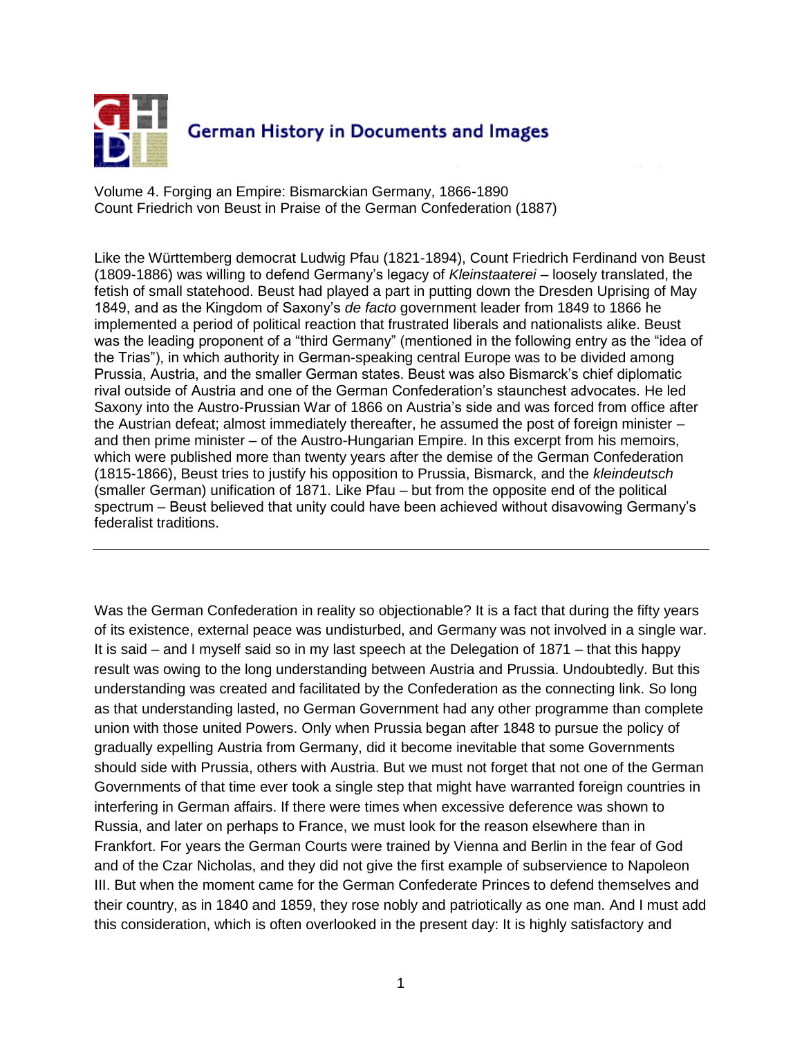

Volume 4. Forging an Empire: Bismarckian Germany, 1866-1890 Count Friedrich von Beust in Praise of the German Confederation (1887)

Like the Württemberg democrat Ludwig Pfau (1821-1894), Count Friedrich Ferdinand von Beust (1809-1886) was willing to defend Germany"s legacy of *Kleinstaaterei* – loosely translated, the fetish of small statehood. Beust had played a part in putting down the Dresden Uprising of May 1849, and as the Kingdom of Saxony"s *de facto* government leader from 1849 to 1866 he implemented a period of political reaction that frustrated liberals and nationalists alike. Beust was the leading proponent of a "third Germany" (mentioned in the following entry as the "idea of the Trias"), in which authority in German-speaking central Europe was to be divided among Prussia, Austria, and the smaller German states. Beust was also Bismarck"s chief diplomatic rival outside of Austria and one of the German Confederation"s staunchest advocates. He led Saxony into the Austro-Prussian War of 1866 on Austria's side and was forced from office after the Austrian defeat; almost immediately thereafter, he assumed the post of foreign minister – and then prime minister – of the Austro-Hungarian Empire. In this excerpt from his memoirs, which were published more than twenty years after the demise of the German Confederation (1815-1866), Beust tries to justify his opposition to Prussia, Bismarck, and the *kleindeutsch* (smaller German) unification of 1871. Like Pfau – but from the opposite end of the political spectrum – Beust believed that unity could have been achieved without disavowing Germany"s federalist traditions.

Was the German Confederation in reality so objectionable? It is a fact that during the fifty years of its existence, external peace was undisturbed, and Germany was not involved in a single war. It is said – and I myself said so in my last speech at the Delegation of 1871 – that this happy result was owing to the long understanding between Austria and Prussia. Undoubtedly. But this understanding was created and facilitated by the Confederation as the connecting link. So long as that understanding lasted, no German Government had any other programme than complete union with those united Powers. Only when Prussia began after 1848 to pursue the policy of gradually expelling Austria from Germany, did it become inevitable that some Governments should side with Prussia, others with Austria. But we must not forget that not one of the German Governments of that time ever took a single step that might have warranted foreign countries in interfering in German affairs. If there were times when excessive deference was shown to Russia, and later on perhaps to France, we must look for the reason elsewhere than in Frankfort. For years the German Courts were trained by Vienna and Berlin in the fear of God and of the Czar Nicholas, and they did not give the first example of subservience to Napoleon III. But when the moment came for the German Confederate Princes to defend themselves and their country, as in 1840 and 1859, they rose nobly and patriotically as one man. And I must add this consideration, which is often overlooked in the present day: It is highly satisfactory and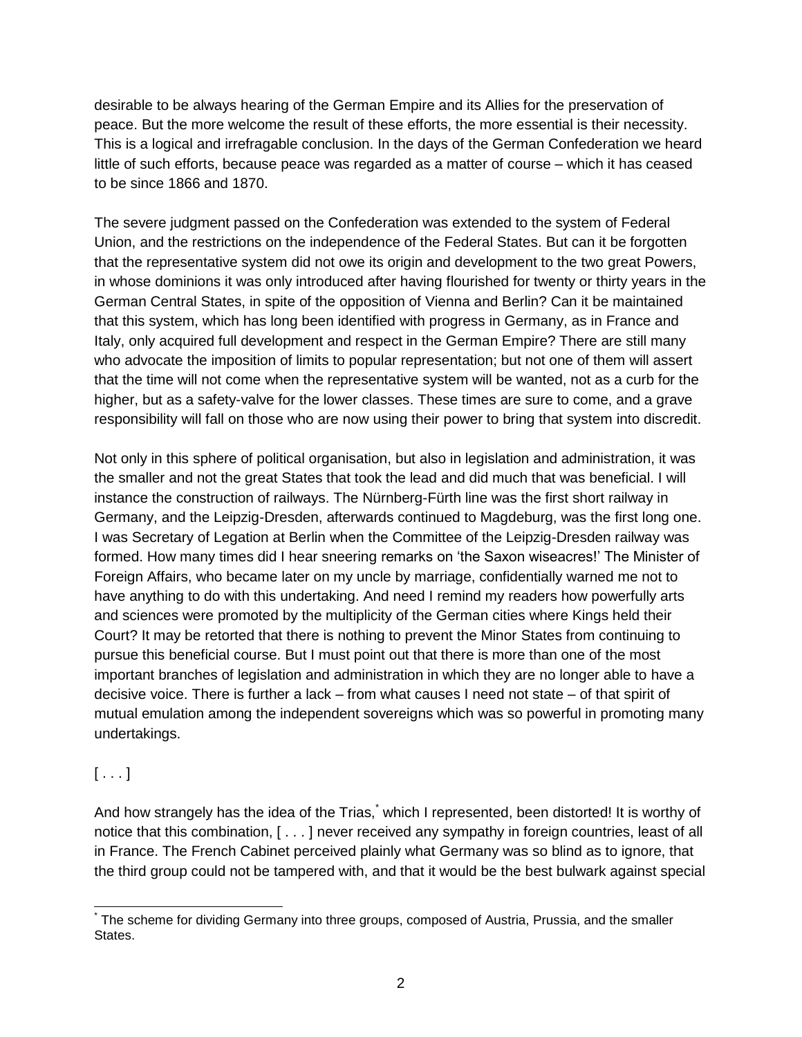desirable to be always hearing of the German Empire and its Allies for the preservation of peace. But the more welcome the result of these efforts, the more essential is their necessity. This is a logical and irrefragable conclusion. In the days of the German Confederation we heard little of such efforts, because peace was regarded as a matter of course – which it has ceased to be since 1866 and 1870.

The severe judgment passed on the Confederation was extended to the system of Federal Union, and the restrictions on the independence of the Federal States. But can it be forgotten that the representative system did not owe its origin and development to the two great Powers, in whose dominions it was only introduced after having flourished for twenty or thirty years in the German Central States, in spite of the opposition of Vienna and Berlin? Can it be maintained that this system, which has long been identified with progress in Germany, as in France and Italy, only acquired full development and respect in the German Empire? There are still many who advocate the imposition of limits to popular representation; but not one of them will assert that the time will not come when the representative system will be wanted, not as a curb for the higher, but as a safety-valve for the lower classes. These times are sure to come, and a grave responsibility will fall on those who are now using their power to bring that system into discredit.

Not only in this sphere of political organisation, but also in legislation and administration, it was the smaller and not the great States that took the lead and did much that was beneficial. I will instance the construction of railways. The Nürnberg-Fürth line was the first short railway in Germany, and the Leipzig-Dresden, afterwards continued to Magdeburg, was the first long one. I was Secretary of Legation at Berlin when the Committee of the Leipzig-Dresden railway was formed. How many times did I hear sneering remarks on "the Saxon wiseacres!" The Minister of Foreign Affairs, who became later on my uncle by marriage, confidentially warned me not to have anything to do with this undertaking. And need I remind my readers how powerfully arts and sciences were promoted by the multiplicity of the German cities where Kings held their Court? It may be retorted that there is nothing to prevent the Minor States from continuing to pursue this beneficial course. But I must point out that there is more than one of the most important branches of legislation and administration in which they are no longer able to have a decisive voice. There is further a lack – from what causes I need not state – of that spirit of mutual emulation among the independent sovereigns which was so powerful in promoting many undertakings.

## $[ \ldots ]$

And how strangely has the idea of the Trias,<sup>\*</sup> which I represented, been distorted! It is worthy of notice that this combination, [ . . . ] never received any sympathy in foreign countries, least of all in France. The French Cabinet perceived plainly what Germany was so blind as to ignore, that the third group could not be tampered with, and that it would be the best bulwark against special

 $\overline{a}$ \* The scheme for dividing Germany into three groups, composed of Austria, Prussia, and the smaller States.